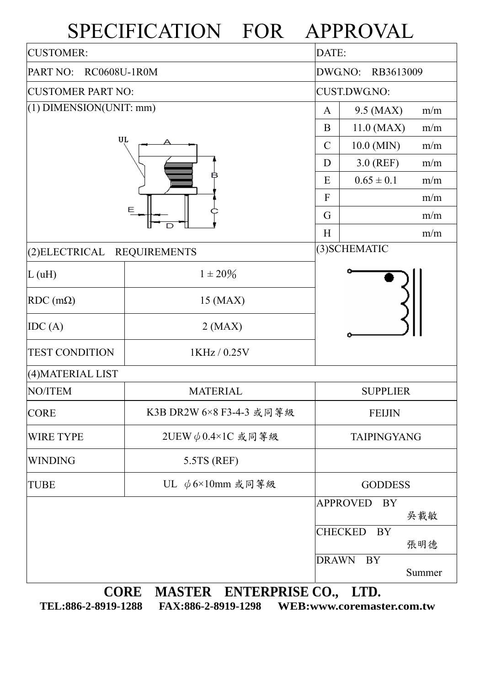## SPECIFICATION FOR APPROVAL

| <b>CUSTOMER:</b>                      | DATE:                                 |                    |                             |        |  |  |
|---------------------------------------|---------------------------------------|--------------------|-----------------------------|--------|--|--|
| PART NO:<br><b>RC0608U-1R0M</b>       | DWG.NO:<br>RB3613009                  |                    |                             |        |  |  |
| <b>CUSTOMER PART NO:</b>              | <b>CUST.DWG.NO:</b>                   |                    |                             |        |  |  |
| $(1)$ DIMENSION(UNIT: mm)             | $\mathbf{A}$                          | 9.5 (MAX)          | m/m                         |        |  |  |
|                                       | B                                     | 11.0 (MAX)         | m/m                         |        |  |  |
| UL                                    | $\mathcal{C}$                         | 10.0 (MIN)         | m/m                         |        |  |  |
|                                       | D                                     | $3.0$ (REF)        | m/m                         |        |  |  |
|                                       | E                                     | $0.65 \pm 0.1$     | m/m                         |        |  |  |
|                                       | $\mathbf{F}$                          |                    | m/m                         |        |  |  |
|                                       | G                                     |                    | m/m                         |        |  |  |
|                                       | H                                     |                    | m/m                         |        |  |  |
| (2) ELECTRICAL<br><b>REQUIREMENTS</b> |                                       | (3) SCHEMATIC      |                             |        |  |  |
| L(uH)                                 | $1 \pm 20\%$                          |                    |                             |        |  |  |
| $RDC$ (m $\Omega$ )                   | 15 (MAX)                              |                    |                             |        |  |  |
| IDC(A)                                | $2$ (MAX)                             |                    |                             |        |  |  |
| <b>TEST CONDITION</b>                 |                                       |                    |                             |        |  |  |
| (4) MATERIAL LIST                     |                                       |                    |                             |        |  |  |
| <b>NO/ITEM</b>                        | <b>MATERIAL</b>                       | <b>SUPPLIER</b>    |                             |        |  |  |
| <b>CORE</b>                           | K3B DR2W 6×8 F3-4-3 或同等級              |                    | <b>FEIJIN</b>               |        |  |  |
| <b>WIRE TYPE</b>                      | 2UEW $\phi$ 0.4×1C 或同等級               | <b>TAIPINGYANG</b> |                             |        |  |  |
| <b>WINDING</b>                        | 5.5TS (REF)                           |                    |                             |        |  |  |
| <b>TUBE</b>                           | UL $\phi$ 6×10mm 或同等級                 |                    | <b>GODDESS</b>              |        |  |  |
|                                       |                                       |                    | <b>APPROVED</b><br>BY       | 吳載敏    |  |  |
|                                       |                                       |                    | <b>CHECKED</b><br><b>BY</b> | 張明德    |  |  |
|                                       |                                       | <b>DRAWN</b>       | <b>BY</b>                   | Summer |  |  |
|                                       | <b>CORE</b><br>MASTER ENTERPRISE CO., |                    | LTD.                        |        |  |  |

**TEL:886-2-8919-1288 FAX:886-2-8919-1298 WEB:www.coremaster.com.tw**